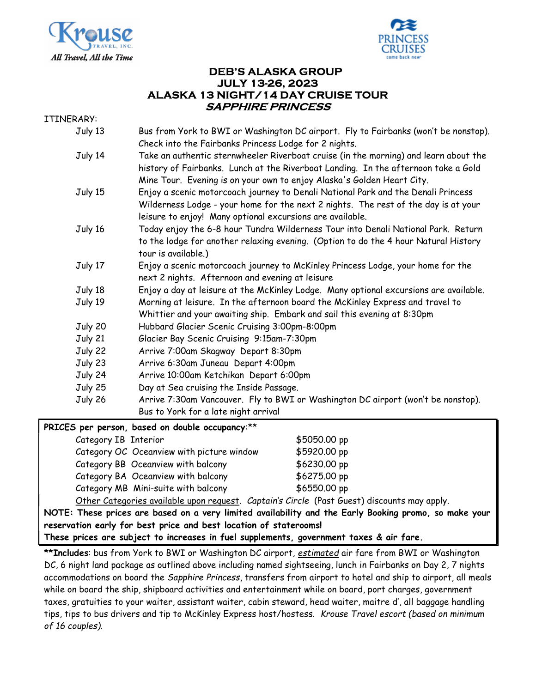



## DEB'S ALASKA GROUP JULY 13-26, 2023 ALASKA 13 NIGHT/14 DAY CRUISE TOUR SAPPHIRE PRINCESS

ITINERARY:

| n/11.   |                                                                                                                                                                                                                                                      |  |  |  |
|---------|------------------------------------------------------------------------------------------------------------------------------------------------------------------------------------------------------------------------------------------------------|--|--|--|
| July 13 | Bus from York to BWI or Washington DC airport. Fly to Fairbanks (won't be nonstop).<br>Check into the Fairbanks Princess Lodge for 2 nights.                                                                                                         |  |  |  |
| July 14 | Take an authentic sternwheeler Riverboat cruise (in the morning) and learn about the<br>history of Fairbanks. Lunch at the Riverboat Landing. In the afternoon take a Gold<br>Mine Tour. Evening is on your own to enjoy Alaska's Golden Heart City. |  |  |  |
| July 15 | Enjoy a scenic motorcoach journey to Denali National Park and the Denali Princess<br>Wilderness Lodge - your home for the next 2 nights. The rest of the day is at your<br>leisure to enjoy! Many optional excursions are available.                 |  |  |  |
| July 16 | Today enjoy the 6-8 hour Tundra Wilderness Tour into Denali National Park. Return<br>to the lodge for another relaxing evening. (Option to do the 4 hour Natural History<br>tour is available.)                                                      |  |  |  |
| July 17 | Enjoy a scenic motorcoach journey to McKinley Princess Lodge, your home for the<br>next 2 nights. Afternoon and evening at leisure                                                                                                                   |  |  |  |
| July 18 | Enjoy a day at leisure at the McKinley Lodge. Many optional excursions are available.                                                                                                                                                                |  |  |  |
| July 19 | Morning at leisure. In the afternoon board the McKinley Express and travel to<br>Whittier and your awaiting ship. Embark and sail this evening at 8:30pm                                                                                             |  |  |  |
| July 20 | Hubbard Glacier Scenic Cruising 3:00pm-8:00pm                                                                                                                                                                                                        |  |  |  |
| July 21 | Glacier Bay Scenic Cruising 9:15am-7:30pm                                                                                                                                                                                                            |  |  |  |
| July 22 | Arrive 7:00am Skagway Depart 8:30pm                                                                                                                                                                                                                  |  |  |  |
| July 23 | Arrive 6:30am Juneau Depart 4:00pm                                                                                                                                                                                                                   |  |  |  |
| July 24 | Arrive 10:00am Ketchikan Depart 6:00pm                                                                                                                                                                                                               |  |  |  |
| July 25 | Day at Sea cruising the Inside Passage.                                                                                                                                                                                                              |  |  |  |
| July 26 | Arrive 7:30am Vancouver. Fly to BWI or Washington DC airport (won't be nonstop).<br>Bus to York for a late night arrival                                                                                                                             |  |  |  |
|         |                                                                                                                                                                                                                                                      |  |  |  |

| PRICES per person, based on double occupancy:** |  |
|-------------------------------------------------|--|
|-------------------------------------------------|--|

| Category IB Interior |                                                                                                                                                                                                                                                                                               | \$5050.00 pp                                     |
|----------------------|-----------------------------------------------------------------------------------------------------------------------------------------------------------------------------------------------------------------------------------------------------------------------------------------------|--------------------------------------------------|
|                      | Category OC Oceanview with picture window                                                                                                                                                                                                                                                     | \$5920.00 pp                                     |
|                      | Category BB Oceanview with balcony                                                                                                                                                                                                                                                            | \$6230.00 pp                                     |
|                      | Category BA Oceanview with balcony                                                                                                                                                                                                                                                            | \$6275.00 pp                                     |
|                      | Category MB Mini-suite with balcony                                                                                                                                                                                                                                                           | \$6550.00 pp                                     |
|                      | $\sim$ . $\sim$ . $\sim$ . $\sim$ . $\sim$ . $\sim$ . $\sim$ . $\sim$ . $\sim$ . $\sim$ . $\sim$ . $\sim$ . $\sim$ . $\sim$ . $\sim$ . $\sim$ . $\sim$ . $\sim$ . $\sim$ . $\sim$ . $\sim$ . $\sim$ . $\sim$ . $\sim$ . $\sim$ . $\sim$ . $\sim$ . $\sim$ . $\sim$ . $\sim$ . $\sim$ . $\sim$ | $\sim$ $\sim$ $\sim$ $\sim$ $\sim$ $\sim$ $\sim$ |

Other Categories available upon request. Captain's Circle (Past Guest) discounts may apply.

NOTE: These prices are based on a very limited availability and the Early Booking promo, so make your reservation early for best price and best location of staterooms!

These prices are subject to increases in fuel supplements, government taxes & air fare.

\*\*Includes: bus from York to BWI or Washington DC airport, estimated air fare from BWI or Washington DC, 6 night land package as outlined above including named sightseeing, lunch in Fairbanks on Day 2, 7 nights accommodations on board the Sapphire Princess, transfers from airport to hotel and ship to airport, all meals while on board the ship, shipboard activities and entertainment while on board, port charges, government taxes, gratuities to your waiter, assistant waiter, cabin steward, head waiter, maitre d', all baggage handling tips, tips to bus drivers and tip to McKinley Express host/hostess. Krouse Travel escort (based on minimum of 16 couples).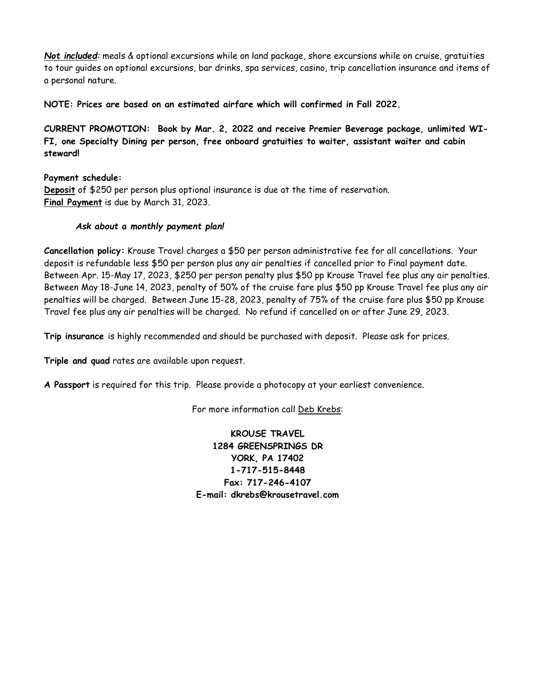Not included: meals & optional excursions while on land package, shore excursions while on cruise, gratuities to tour guides on optional excursions, bar drinks, spa services, casino, trip cancellation insurance and items of a personal nature.

NOTE: Prices are based on an estimated airfare which will confirmed in Fall 2022.

CURRENT PROMOTION: Book by Mar. 2, 2022 and receive Premier Beverage package, unlimited WI-FI, one Specialty Dining per person, free onboard gratuities to waiter, assistant waiter and cabin steward!

Payment schedule: Deposit of \$250 per person plus optional insurance is due at the time of reservation. Final Payment is due by March 31, 2023.

## Ask about a monthly payment plan!

Cancellation policy: Krouse Travel charges a \$50 per person administrative fee for all cancellations. Your deposit is refundable less \$50 per person plus any air penalties if cancelled prior to Final payment date. Between Apr. 15-May 17, 2023, \$250 per person penalty plus \$50 pp Krouse Travel fee plus any air penalties. Between May 18-June 14, 2023, penalty of 50% of the cruise fare plus \$50 pp Krouse Travel fee plus any air penalties will be charged. Between June 15-28, 2023, penalty of 75% of the cruise fare plus \$50 pp Krouse Travel fee plus any air penalties will be charged. No refund if cancelled on or after June 29, 2023.

Trip insurance is highly recommended and should be purchased with deposit. Please ask for prices.

Triple and quad rates are available upon request.

A Passport is required for this trip. Please provide a photocopy at your earliest convenience.

For more information call Deb Krebs:

KROUSE TRAVEL 1284 GREENSPRINGS DR YORK, PA 17402 1-717-515-8448 Fax: 717-246-4107 E-mail: dkrebs@krousetravel.com